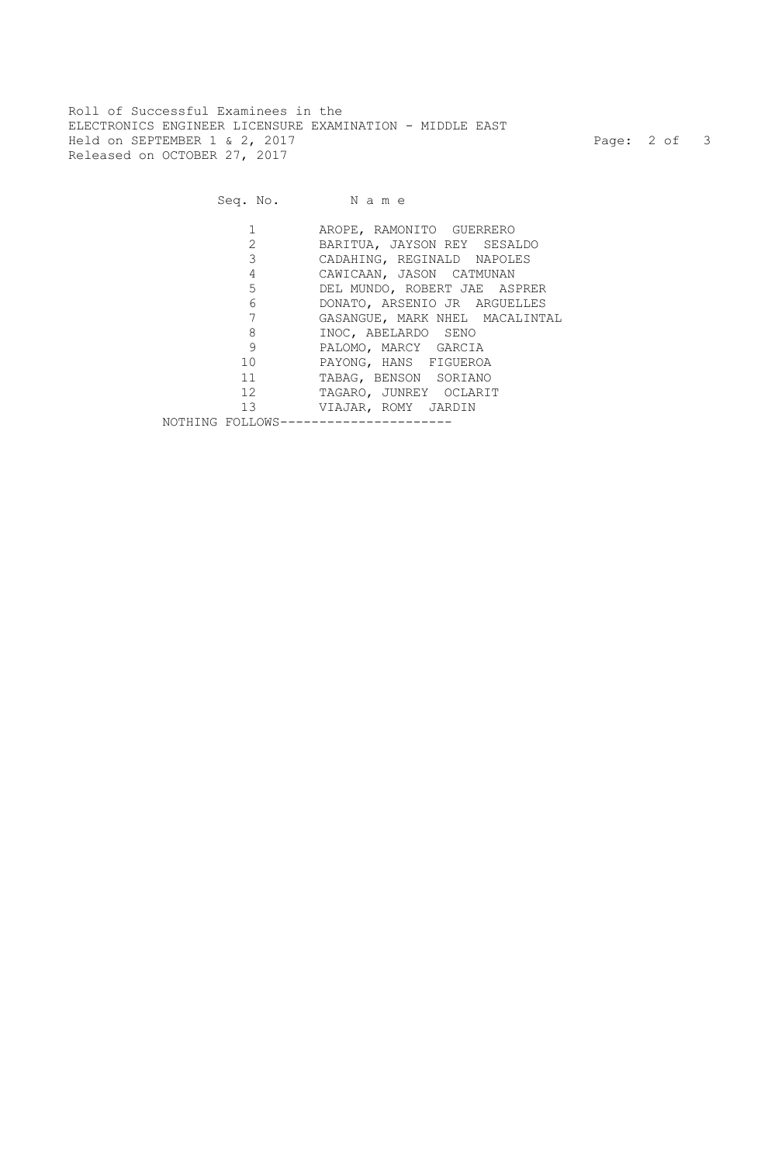Roll of Successful Examinees in the ELECTRONICS ENGINEER LICENSURE EXAMINATION - MIDDLE EAST Held on SEPTEMBER 1 & 2, 2017 Page: 2 of 3 Released on OCTOBER 27, 2017

## Seq. No. Name

|                        | AROPE, RAMONITO GUERRERO       |
|------------------------|--------------------------------|
|                        | BARITUA, JAYSON REY SESALDO    |
| $3^{\circ}$            | CADAHING, REGINALD NAPOLES     |
| 4                      | CAWICAAN, JASON CATMUNAN       |
| $5^{\circ}$            | DEL MUNDO, ROBERT JAE ASPRER   |
| $6 \qquad \qquad$      | DONATO, ARSENIO JR ARGUELLES   |
|                        | GASANGUE, MARK NHEL MACALINTAL |
| 8                      | INOC, ABELARDO SENO            |
| 9                      | PALOMO, MARCY GARCIA           |
| 10                     | PAYONG, HANS FIGUEROA          |
| 11                     | TABAG, BENSON SORIANO          |
| 12                     | TAGARO, JUNREY OCLARIT         |
| 13                     | VIAJAR, ROMY JARDIN            |
| NOTHING FOLLOWS------- |                                |